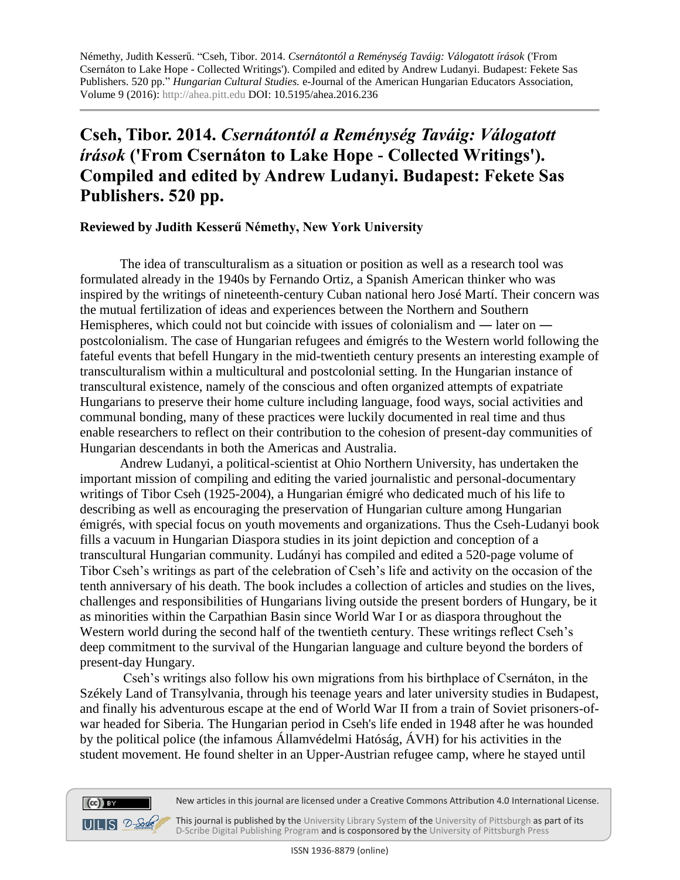Némethy, Judith Kesserű. "Cseh, Tibor. 2014. *Csernátontól a Reménység Taváig: Válogatott írások* ('From Csernáton to Lake Hope - Collected Writings'). Compiled and edited by Andrew Ludanyi. Budapest: Fekete Sas Publishers. 520 pp." *Hungarian Cultural Studies.* e-Journal of the American Hungarian Educators Association, Volume 9 (2016): [http://ahea.pitt.edu](http://ahea.pitt.edu/) DOI: 10.5195/ahea.2016.236

## **Cseh, Tibor. 2014.** *Csernátontól a Reménység Taváig: Válogatott írások* **('From Csernáton to Lake Hope - Collected Writings'). Compiled and edited by Andrew Ludanyi. Budapest: Fekete Sas Publishers. 520 pp.**

## **Reviewed by Judith Kesserű Némethy, New York University**

The idea of transculturalism as a situation or position as well as a research tool was formulated already in the 1940s by Fernando Ortiz, a Spanish American thinker who was inspired by the writings of nineteenth-century Cuban national hero José Martí. Their concern was the mutual fertilization of ideas and experiences between the Northern and Southern Hemispheres, which could not but coincide with issues of colonialism and ― later on ― postcolonialism. The case of Hungarian refugees and émigrés to the Western world following the fateful events that befell Hungary in the mid-twentieth century presents an interesting example of transculturalism within a multicultural and postcolonial setting. In the Hungarian instance of transcultural existence, namely of the conscious and often organized attempts of expatriate Hungarians to preserve their home culture including language, food ways, social activities and communal bonding, many of these practices were luckily documented in real time and thus enable researchers to reflect on their contribution to the cohesion of present-day communities of Hungarian descendants in both the Americas and Australia.

Andrew Ludanyi, a political-scientist at Ohio Northern University, has undertaken the important mission of compiling and editing the varied journalistic and personal-documentary writings of Tibor Cseh (1925-2004), a Hungarian émigré who dedicated much of his life to describing as well as encouraging the preservation of Hungarian culture among Hungarian émigrés, with special focus on youth movements and organizations. Thus the Cseh-Ludanyi book fills a vacuum in Hungarian Diaspora studies in its joint depiction and conception of a transcultural Hungarian community. Ludányi has compiled and edited a 520-page volume of Tibor Cseh's writings as part of the celebration of Cseh's life and activity on the occasion of the tenth anniversary of his death. The book includes a collection of articles and studies on the lives, challenges and responsibilities of Hungarians living outside the present borders of Hungary, be it as minorities within the Carpathian Basin since World War I or as diaspora throughout the Western world during the second half of the twentieth century. These writings reflect Cseh's deep commitment to the survival of the Hungarian language and culture beyond the borders of present-day Hungary.

Cseh's writings also follow his own migrations from his birthplace of Csernáton, in the Székely Land of Transylvania, through his teenage years and later university studies in Budapest, and finally his adventurous escape at the end of World War II from a train of Soviet prisoners-ofwar headed for Siberia. The Hungarian period in Cseh's life ended in 1948 after he was hounded by the political police (the infamous Államvédelmi Hatóság, ÁVH) for his activities in the student movement. He found shelter in an Upper-Austrian refugee camp, where he stayed until





 $(cc)$  BY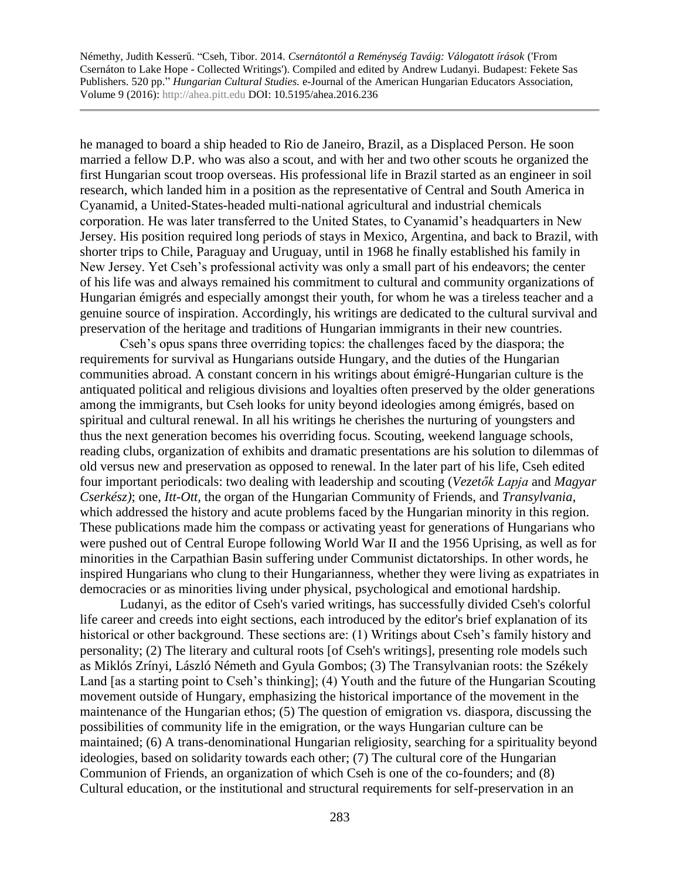Némethy, Judith Kesserű. "Cseh, Tibor. 2014. *Csernátontól a Reménység Taváig: Válogatott írások* ('From Csernáton to Lake Hope - Collected Writings'). Compiled and edited by Andrew Ludanyi. Budapest: Fekete Sas Publishers. 520 pp." *Hungarian Cultural Studies.* e-Journal of the American Hungarian Educators Association, Volume 9 (2016): [http://ahea.pitt.edu](http://ahea.pitt.edu/) DOI: 10.5195/ahea.2016.236

he managed to board a ship headed to Rio de Janeiro, Brazil, as a Displaced Person. He soon married a fellow D.P. who was also a scout, and with her and two other scouts he organized the first Hungarian scout troop overseas. His professional life in Brazil started as an engineer in soil research, which landed him in a position as the representative of Central and South America in Cyanamid, a United-States-headed multi-national agricultural and industrial chemicals corporation. He was later transferred to the United States, to Cyanamid's headquarters in New Jersey. His position required long periods of stays in Mexico, Argentina, and back to Brazil, with shorter trips to Chile, Paraguay and Uruguay, until in 1968 he finally established his family in New Jersey. Yet Cseh's professional activity was only a small part of his endeavors; the center of his life was and always remained his commitment to cultural and community organizations of Hungarian émigrés and especially amongst their youth, for whom he was a tireless teacher and a genuine source of inspiration. Accordingly, his writings are dedicated to the cultural survival and preservation of the heritage and traditions of Hungarian immigrants in their new countries.

Cseh's opus spans three overriding topics: the challenges faced by the diaspora; the requirements for survival as Hungarians outside Hungary, and the duties of the Hungarian communities abroad. A constant concern in his writings about émigré-Hungarian culture is the antiquated political and religious divisions and loyalties often preserved by the older generations among the immigrants, but Cseh looks for unity beyond ideologies among émigrés, based on spiritual and cultural renewal. In all his writings he cherishes the nurturing of youngsters and thus the next generation becomes his overriding focus. Scouting, weekend language schools, reading clubs, organization of exhibits and dramatic presentations are his solution to dilemmas of old versus new and preservation as opposed to renewal. In the later part of his life, Cseh edited four important periodicals: two dealing with leadership and scouting (*Vezetők Lapja* and *Magyar Cserkész)*; one, *Itt-Ott,* the organ of the Hungarian Community of Friends, and *Transylvania*, which addressed the history and acute problems faced by the Hungarian minority in this region. These publications made him the compass or activating yeast for generations of Hungarians who were pushed out of Central Europe following World War II and the 1956 Uprising, as well as for minorities in the Carpathian Basin suffering under Communist dictatorships. In other words, he inspired Hungarians who clung to their Hungarianness, whether they were living as expatriates in democracies or as minorities living under physical, psychological and emotional hardship.

Ludanyi, as the editor of Cseh's varied writings, has successfully divided Cseh's colorful life career and creeds into eight sections, each introduced by the editor's brief explanation of its historical or other background. These sections are: (1) Writings about Cseh's family history and personality; (2) The literary and cultural roots [of Cseh's writings], presenting role models such as Miklós Zrínyi, László Németh and Gyula Gombos; (3) The Transylvanian roots: the Székely Land [as a starting point to Cseh's thinking]; (4) Youth and the future of the Hungarian Scouting movement outside of Hungary, emphasizing the historical importance of the movement in the maintenance of the Hungarian ethos; (5) The question of emigration vs. diaspora, discussing the possibilities of community life in the emigration, or the ways Hungarian culture can be maintained; (6) A trans-denominational Hungarian religiosity, searching for a spirituality beyond ideologies, based on solidarity towards each other; (7) The cultural core of the Hungarian Communion of Friends, an organization of which Cseh is one of the co-founders; and (8) Cultural education, or the institutional and structural requirements for self-preservation in an